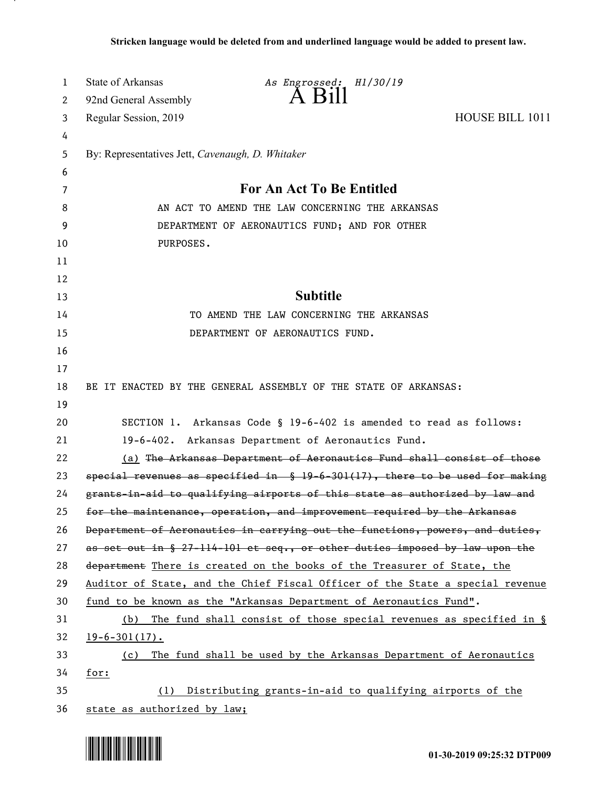| 1  | <b>State of Arkansas</b>                                                       | As Engrossed: H1/30/19                                                         |                 |  |
|----|--------------------------------------------------------------------------------|--------------------------------------------------------------------------------|-----------------|--|
| 2  | 92nd General Assembly                                                          | A B111                                                                         |                 |  |
| 3  | Regular Session, 2019                                                          |                                                                                | HOUSE BILL 1011 |  |
| 4  |                                                                                |                                                                                |                 |  |
| 5  | By: Representatives Jett, Cavenaugh, D. Whitaker                               |                                                                                |                 |  |
| 6  |                                                                                |                                                                                |                 |  |
| 7  |                                                                                | For An Act To Be Entitled                                                      |                 |  |
| 8  | AN ACT TO AMEND THE LAW CONCERNING THE ARKANSAS                                |                                                                                |                 |  |
| 9  | DEPARTMENT OF AERONAUTICS FUND; AND FOR OTHER                                  |                                                                                |                 |  |
| 10 | PURPOSES.                                                                      |                                                                                |                 |  |
| 11 |                                                                                |                                                                                |                 |  |
| 12 |                                                                                |                                                                                |                 |  |
| 13 |                                                                                | <b>Subtitle</b>                                                                |                 |  |
| 14 |                                                                                | TO AMEND THE LAW CONCERNING THE ARKANSAS                                       |                 |  |
| 15 |                                                                                | DEPARTMENT OF AERONAUTICS FUND.                                                |                 |  |
| 16 |                                                                                |                                                                                |                 |  |
| 17 |                                                                                |                                                                                |                 |  |
| 18 | BE IT ENACTED BY THE GENERAL ASSEMBLY OF THE STATE OF ARKANSAS:                |                                                                                |                 |  |
| 19 |                                                                                |                                                                                |                 |  |
| 20 | SECTION 1. Arkansas Code § 19-6-402 is amended to read as follows:             |                                                                                |                 |  |
| 21 | 19-6-402. Arkansas Department of Aeronautics Fund.                             |                                                                                |                 |  |
| 22 |                                                                                | (a) The Arkansas Department of Aeronautics Fund shall consist of those         |                 |  |
| 23 | special revenues as specified in $$19-6-301(17)$ , there to be used for making |                                                                                |                 |  |
| 24 | grants-in-aid to qualifying airports of this state as authorized by law and    |                                                                                |                 |  |
| 25 |                                                                                | for the maintenance, operation, and improvement required by the Arkansas       |                 |  |
| 26 |                                                                                | Department of Aeronautics in carrying out the functions, powers, and duties,   |                 |  |
| 27 |                                                                                | as set out in $\S$ 27-114-101 et seq., or other duties imposed by law upon the |                 |  |
| 28 |                                                                                | department There is created on the books of the Treasurer of State, the        |                 |  |
| 29 |                                                                                | Auditor of State, and the Chief Fiscal Officer of the State a special revenue  |                 |  |
| 30 |                                                                                | fund to be known as the "Arkansas Department of Aeronautics Fund".             |                 |  |
| 31 | (b)                                                                            | The fund shall consist of those special revenues as specified in $\S$          |                 |  |
| 32 | $19 - 6 - 301(17)$ .                                                           |                                                                                |                 |  |
| 33 | (c)                                                                            | The fund shall be used by the Arkansas Department of Aeronautics               |                 |  |
| 34 | for:                                                                           |                                                                                |                 |  |
| 35 | (1)                                                                            | Distributing grants-in-aid to qualifying airports of the                       |                 |  |
| 36 | state as authorized by law;                                                    |                                                                                |                 |  |